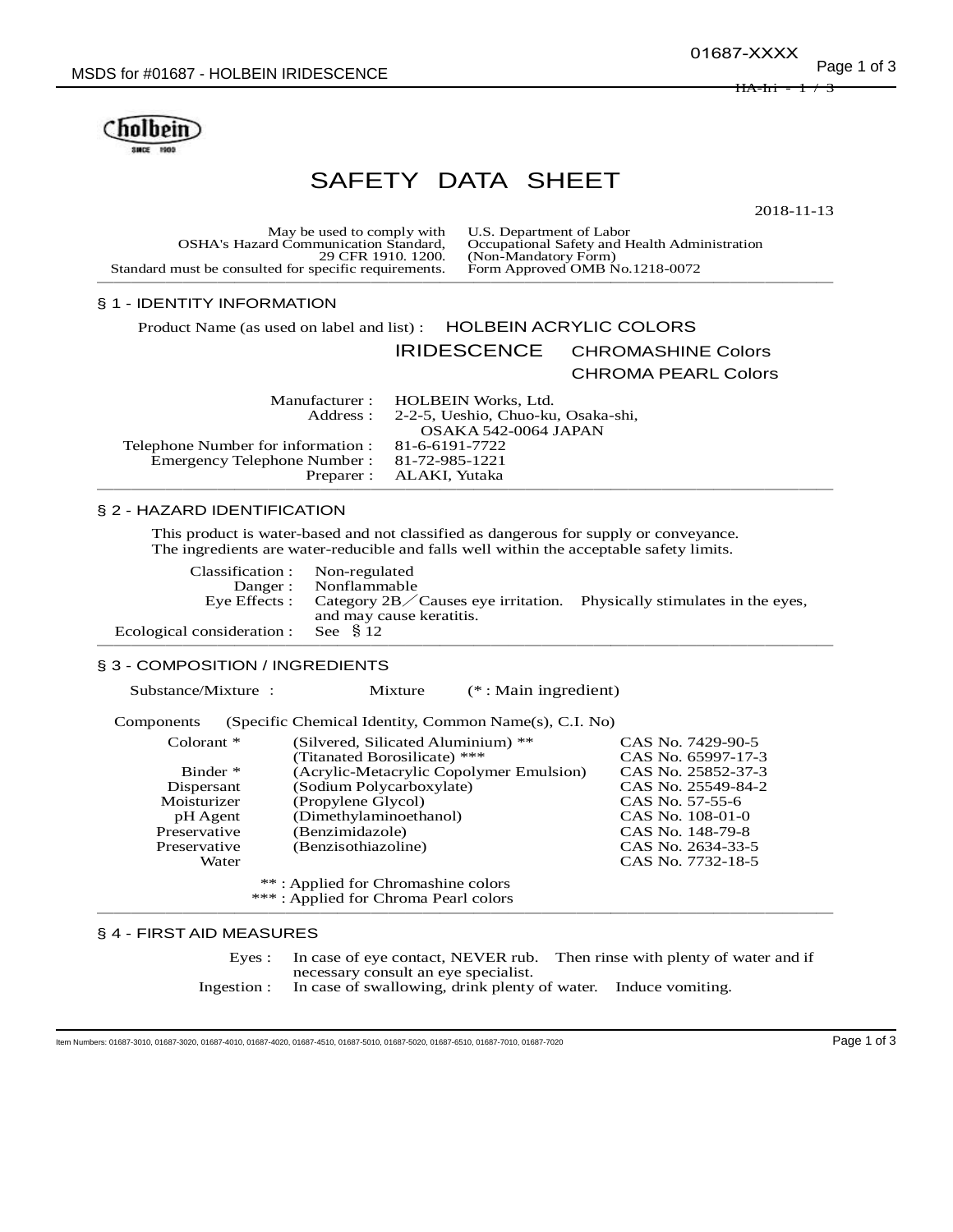01687-XXXX

<del>HA-Iri</del>



# SAFETY DATA SHEET

2018-11-13

May be used to comply with U.S. Department of Labor<br>rd Communication Standard, Occupational Safety and Health Administration OSHA's Hazard Communication Standard,<br>29 CFR 1910. 1200. Standard must be consulted for specific requirements. ───────────────────────────────────────────

## § 1 - IDENTITY INFORMATION

Product Name (as used on label and list) : HOLBEIN ACRYLIC COLORS

IRIDESCENCE CHROMASHINE Colors

(Non-Mandatory Form)<br>Form Approved OMB No.1218-0072

CHROMA PEARL Colors

|                                                   | Manufacturer : HOLBEIN Works, Ltd.          |
|---------------------------------------------------|---------------------------------------------|
|                                                   | Address: 2-2-5, Ueshio, Chuo-ku, Osaka-shi, |
|                                                   | OSAKA 542-0064 JAPAN                        |
| Telephone Number for information : 81-6-6191-7722 |                                             |
| Emergency Telephone Number: 81-72-985-1221        |                                             |
|                                                   | Preparer : ALAKI, Yutaka                    |
|                                                   |                                             |

## § 2 - HAZARD IDENTIFICATION

This product is water-based and not classified as dangerous for supply or conveyance. The ingredients are water-reducible and falls well within the acceptable safety limits.

| Classification : Non-regulated        |                                                                                                                   |  |
|---------------------------------------|-------------------------------------------------------------------------------------------------------------------|--|
|                                       | Danger: Nonflammable                                                                                              |  |
|                                       | Eye Effects : Category $2B$ Causes eye irritation. Physically stimulates in the eyes,<br>and may cause keratitis. |  |
| Ecological consideration : See $§$ 12 |                                                                                                                   |  |
|                                       |                                                                                                                   |  |

## § 3 - COMPOSITION / INGREDIENTS

Substance/Mixture : Mixture (\* : Main ingredient)

| Components                           | (Specific Chemical Identity, Common Name(s), C.I. No) |                    |
|--------------------------------------|-------------------------------------------------------|--------------------|
| Colorant $*$                         | (Silvered, Silicated Aluminium) **                    | CAS No. 7429-90-5  |
|                                      | (Titanated Borosilicate) ***                          | CAS No. 65997-17-3 |
| Binder *                             | (Acrylic-Metacrylic Copolymer Emulsion)               | CAS No. 25852-37-3 |
| Dispersant                           | (Sodium Polycarboxylate)                              | CAS No. 25549-84-2 |
| Moisturizer                          | (Propylene Glycol)                                    | CAS No. 57-55-6    |
| pH Agent                             | (Dimethylaminoethanol)                                | CAS No. 108-01-0   |
| Preservative                         | (Benzimidazole)                                       | CAS No. 148-79-8   |
| Preservative                         | (Benzisothiazoline)                                   | CAS No. 2634-33-5  |
| Water                                |                                                       | CAS No. 7732-18-5  |
| **: Applied for Chromashine colors   |                                                       |                    |
| ***: Applied for Chroma Pearl colors |                                                       |                    |

## § 4 - FIRST AID MEASURES

Eyes : In case of eye contact, NEVER rub. Then rinse with plenty of water and if necessary consult an eye specialist.

Ingestion : In case of swallowing, drink plenty of water. Induce vomiting.

───────────────────────────────────────────

Item Numbers: 01687-3010, 01687-3020, 01687-4010, 01687-4020, 01687-4510, 01687-5010, 01687-5020, 01687-6510, 01687-7010, 01687-7020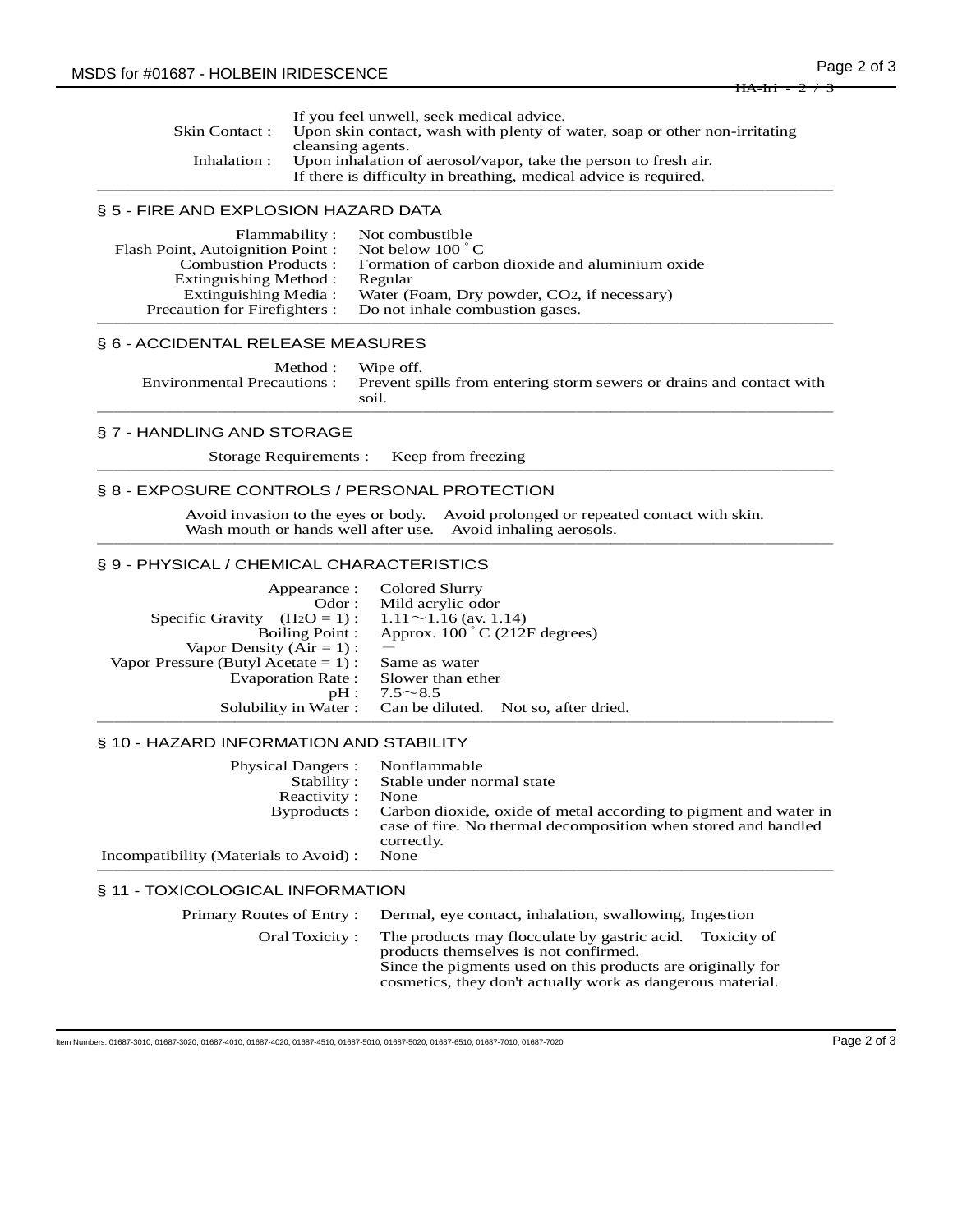|                | If you feel unwell, seek medical advice.                                   |
|----------------|----------------------------------------------------------------------------|
| Skin Contact : | Upon skin contact, wash with plenty of water, soap or other non-irritating |
|                | cleansing agents.                                                          |
| Inhalation :   | Upon inhalation of aerosol/vapor, take the person to fresh air.            |
|                | If there is difficulty in breathing, medical advice is required.           |

───────────────────────────────────────────

#### § 5 - FIRE AND EXPLOSION HAZARD DATA

| Flammability:                    | Not combustible                                 |
|----------------------------------|-------------------------------------------------|
| Flash Point, Autoignition Point: | Not below $100^{\circ}$ C                       |
| <b>Combustion Products:</b>      | Formation of carbon dioxide and aluminium oxide |
| Extinguishing Method:            | Regular                                         |
| Extinguishing Media:             | Water (Foam, Dry powder, CO2, if necessary)     |
| Precaution for Firefighters :    | Do not inhale combustion gases.                 |
|                                  |                                                 |

## § 6 - ACCIDENTAL RELEASE MEASURES

| Method : Wipe off. |                                                                                                 |
|--------------------|-------------------------------------------------------------------------------------------------|
|                    | Environmental Precautions: Prevent spills from entering storm sewers or drains and contact with |
|                    | soil.                                                                                           |

───────────────────────────────────────────

#### § 7 - HANDLING AND STORAGE

Storage Requirements : Keep from freezing ───────────────────────────────────────────

#### § 8 - EXPOSURE CONTROLS / PERSONAL PROTECTION

Avoid invasion to the eyes or body. Avoid prolonged or repeated contact with skin. Wash mouth or hands well after use. Avoid inhaling aerosols. ───────────────────────────────────────────

## § 9 - PHYSICAL / CHEMICAL CHARACTERISTICS

| Appearance :<br>$\text{Odor}$ :         | Colored Slurry<br>Mild acrylic odor                       |
|-----------------------------------------|-----------------------------------------------------------|
| Specific Gravity $(H_2O = 1)$ :         | $1.11 \sim 1.16$ (av. 1.14)                               |
| Boiling Point:                          | Approx. $100\degree$ C (212F degrees)                     |
| Vapor Density $(Air = 1)$ :             |                                                           |
| Vapor Pressure (Butyl Acetate $= 1$ ) : | Same as water                                             |
| Evaporation Rate:                       | Slower than ether                                         |
| $pH$ :                                  | $7.5 \sim 8.5$                                            |
|                                         | Solubility in Water: Can be diluted. Not so, after dried. |
|                                         |                                                           |

#### § 10 - HAZARD INFORMATION AND STABILITY

| <b>Physical Dangers:</b>               | Nonflammable                                                                                                                                     |
|----------------------------------------|--------------------------------------------------------------------------------------------------------------------------------------------------|
| Stability:                             | Stable under normal state                                                                                                                        |
| Reactivity:                            | None                                                                                                                                             |
| Byproducts:                            | Carbon dioxide, oxide of metal according to pigment and water in<br>case of fire. No thermal decomposition when stored and handled<br>correctly. |
| Incompatibility (Materials to Avoid) : | None                                                                                                                                             |
|                                        |                                                                                                                                                  |

## § 11 - TOXICOLOGICAL INFORMATION

| Primary Routes of Entry: Dermal, eye contact, inhalation, swallowing, Ingestion                                           |
|---------------------------------------------------------------------------------------------------------------------------|
| Oral Toxicity: The products may flocculate by gastric acid. Toxicity of<br>products themselves is not confirmed.          |
| Since the pigments used on this products are originally for<br>cosmetics, they don't actually work as dangerous material. |